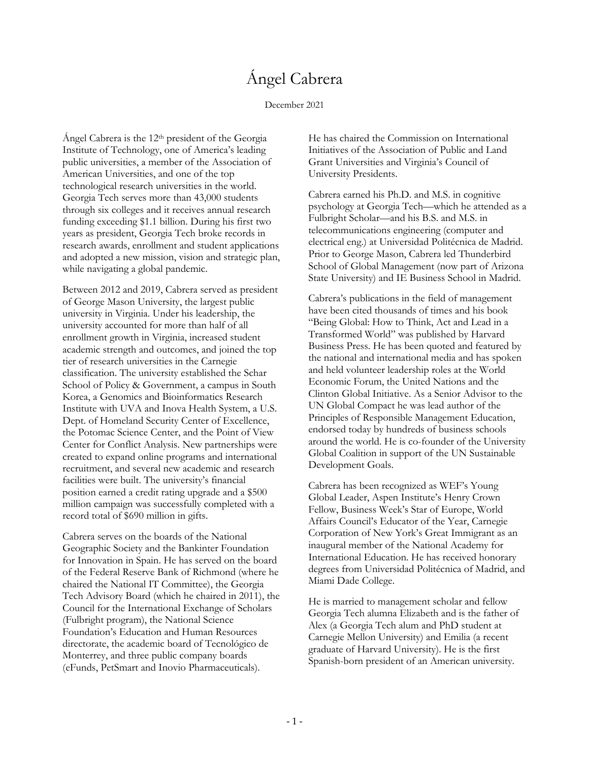# Ángel Cabrera

#### December 2021

Ángel Cabrera is the 12th president of the Georgia Institute of Technology, one of America's leading public universities, a member of the Association of American Universities, and one of the top technological research universities in the world. Georgia Tech serves more than 43,000 students through six colleges and it receives annual research funding exceeding \$1.1 billion. During his first two years as president, Georgia Tech broke records in research awards, enrollment and student applications and adopted a new mission, vision and strategic plan, while navigating a global pandemic.

Between 2012 and 2019, Cabrera served as president of George Mason University, the largest public university in Virginia. Under his leadership, the university accounted for more than half of all enrollment growth in Virginia, increased student academic strength and outcomes, and joined the top tier of research universities in the Carnegie classification. The university established the Schar School of Policy & Government, a campus in South Korea, a Genomics and Bioinformatics Research Institute with UVA and Inova Health System, a U.S. Dept. of Homeland Security Center of Excellence, the Potomac Science Center, and the Point of View Center for Conflict Analysis. New partnerships were created to expand online programs and international recruitment, and several new academic and research facilities were built. The university's financial position earned a credit rating upgrade and a \$500 million campaign was successfully completed with a record total of \$690 million in gifts.

Cabrera serves on the boards of the National Geographic Society and the Bankinter Foundation for Innovation in Spain. He has served on the board of the Federal Reserve Bank of Richmond (where he chaired the National IT Committee), the Georgia Tech Advisory Board (which he chaired in 2011), the Council for the International Exchange of Scholars (Fulbright program), the National Science Foundation's Education and Human Resources directorate, the academic board of Tecnológico de Monterrey, and three public company boards (eFunds, PetSmart and Inovio Pharmaceuticals).

He has chaired the Commission on International Initiatives of the Association of Public and Land Grant Universities and Virginia's Council of University Presidents.

Cabrera earned his Ph.D. and M.S. in cognitive psychology at Georgia Tech—which he attended as a Fulbright Scholar—and his B.S. and M.S. in telecommunications engineering (computer and electrical eng.) at Universidad Politécnica de Madrid. Prior to George Mason, Cabrera led Thunderbird School of Global Management (now part of Arizona State University) and IE Business School in Madrid.

Cabrera's publications in the field of management have been cited thousands of times and his book "Being Global: How to Think, Act and Lead in a Transformed World" was published by Harvard Business Press. He has been quoted and featured by the national and international media and has spoken and held volunteer leadership roles at the World Economic Forum, the United Nations and the Clinton Global Initiative. As a Senior Advisor to the UN Global Compact he was lead author of the Principles of Responsible Management Education, endorsed today by hundreds of business schools around the world. He is co-founder of the University Global Coalition in support of the UN Sustainable Development Goals.

Cabrera has been recognized as WEF's Young Global Leader, Aspen Institute's Henry Crown Fellow, Business Week's Star of Europe, World Affairs Council's Educator of the Year, Carnegie Corporation of New York's Great Immigrant as an inaugural member of the National Academy for International Education. He has received honorary degrees from Universidad Politécnica of Madrid, and Miami Dade College.

He is married to management scholar and fellow Georgia Tech alumna Elizabeth and is the father of Alex (a Georgia Tech alum and PhD student at Carnegie Mellon University) and Emilia (a recent graduate of Harvard University). He is the first Spanish-born president of an American university.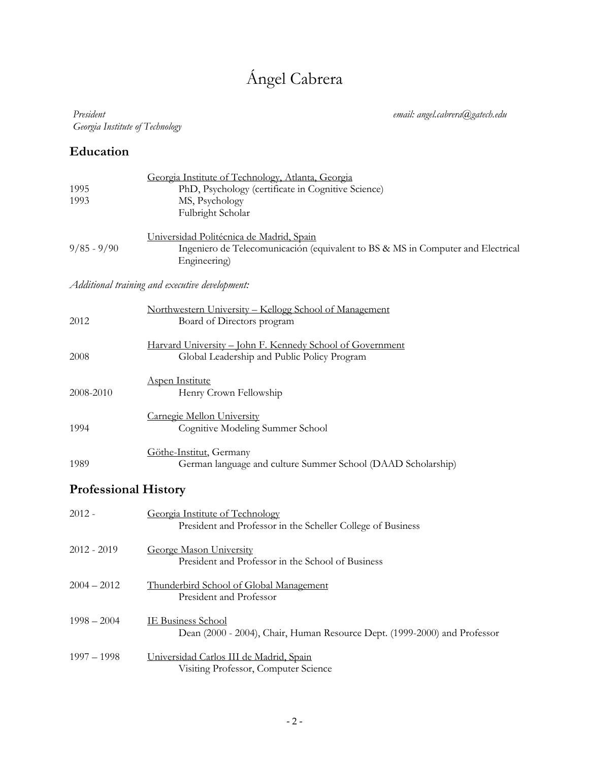# Ángel Cabrera

#### *President Georgia Institute of Technology*

*email: angel.cabrera@gatech.edu*

### **Education**

| 1995<br>1993                | Georgia Institute of Technology, Atlanta, Georgia<br>PhD, Psychology (certificate in Cognitive Science)<br>MS, Psychology<br>Fulbright Scholar |  |  |  |
|-----------------------------|------------------------------------------------------------------------------------------------------------------------------------------------|--|--|--|
| $9/85 - 9/90$               | Universidad Politécnica de Madrid, Spain<br>Ingeniero de Telecomunicación (equivalent to BS & MS in Computer and Electrical<br>Engineering)    |  |  |  |
|                             | Additional training and executive development:                                                                                                 |  |  |  |
| 2012                        | Northwestern University - Kellogg School of Management<br>Board of Directors program                                                           |  |  |  |
| 2008                        | Harvard University - John F. Kennedy School of Government<br>Global Leadership and Public Policy Program                                       |  |  |  |
| 2008-2010                   | <b>Aspen Institute</b><br>Henry Crown Fellowship                                                                                               |  |  |  |
| 1994                        | Carnegie Mellon University<br>Cognitive Modeling Summer School                                                                                 |  |  |  |
| 1989                        | Göthe-Institut, Germany<br>German language and culture Summer School (DAAD Scholarship)                                                        |  |  |  |
| <b>Professional History</b> |                                                                                                                                                |  |  |  |
| $2012 -$                    | Georgia Institute of Technology<br>President and Professor in the Scheller College of Business                                                 |  |  |  |
| $2012 - 2019$               | <b>George Mason University</b><br>President and Professor in the School of Business                                                            |  |  |  |
| $2004 - 2012$               | Thunderbird School of Global Management<br>President and Professor                                                                             |  |  |  |
| $1998 - 2004$               | <b>IE Business School</b><br>Dean (2000 - 2004), Chair, Human Resource Dept. (1999-2000) and Professor                                         |  |  |  |
| $1997 - 1998$               | Universidad Carlos III de Madrid, Spain<br>Visiting Professor, Computer Science                                                                |  |  |  |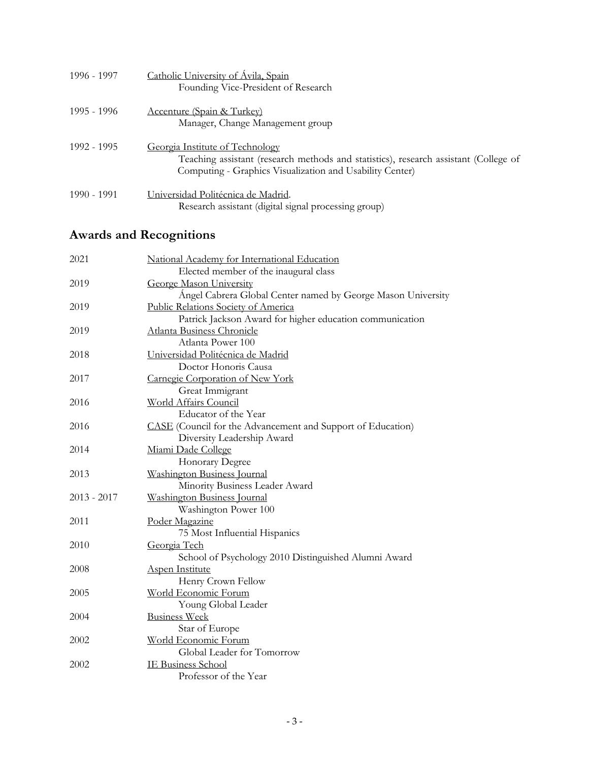| 1996 - 1997 | Catholic University of Ávila, Spain<br>Founding Vice-President of Research                                                                                                          |
|-------------|-------------------------------------------------------------------------------------------------------------------------------------------------------------------------------------|
| 1995 - 1996 | <b>Accenture (Spain &amp; Turkey)</b><br>Manager, Change Management group                                                                                                           |
| 1992 - 1995 | Georgia Institute of Technology<br>Teaching assistant (research methods and statistics), research assistant (College of<br>Computing - Graphics Visualization and Usability Center) |
| 1990 - 1991 | Universidad Politécnica de Madrid.<br>Research assistant (digital signal processing group)                                                                                          |

## **Awards and Recognitions**

| 2021          | National Academy for International Education                 |
|---------------|--------------------------------------------------------------|
|               | Elected member of the inaugural class                        |
| 2019          | <b>George Mason University</b>                               |
|               | Ángel Cabrera Global Center named by George Mason University |
| 2019          | <b>Public Relations Society of America</b>                   |
|               | Patrick Jackson Award for higher education communication     |
| 2019          | Atlanta Business Chronicle                                   |
|               | Atlanta Power 100                                            |
| 2018          | Universidad Politécnica de Madrid                            |
|               | Doctor Honoris Causa                                         |
| 2017          | Carnegie Corporation of New York                             |
|               | Great Immigrant                                              |
| 2016          | World Affairs Council                                        |
|               | Educator of the Year                                         |
| 2016          | CASE (Council for the Advancement and Support of Education)  |
|               | Diversity Leadership Award                                   |
| 2014          | Miami Dade College                                           |
|               | Honorary Degree                                              |
| 2013          | Washington Business Journal                                  |
|               | Minority Business Leader Award                               |
| $2013 - 2017$ | Washington Business Journal                                  |
|               | Washington Power 100                                         |
| 2011          | Poder Magazine                                               |
|               | 75 Most Influential Hispanics                                |
| 2010          | Georgia Tech                                                 |
|               | School of Psychology 2010 Distinguished Alumni Award         |
| 2008          | <b>Aspen Institute</b>                                       |
|               | Henry Crown Fellow                                           |
| 2005          | World Economic Forum                                         |
|               | Young Global Leader                                          |
| 2004          | <b>Business Week</b>                                         |
|               | Star of Europe                                               |
| 2002          | World Economic Forum                                         |
|               | Global Leader for Tomorrow                                   |
| 2002          | <b>IE Business School</b>                                    |
|               | Professor of the Year                                        |
|               |                                                              |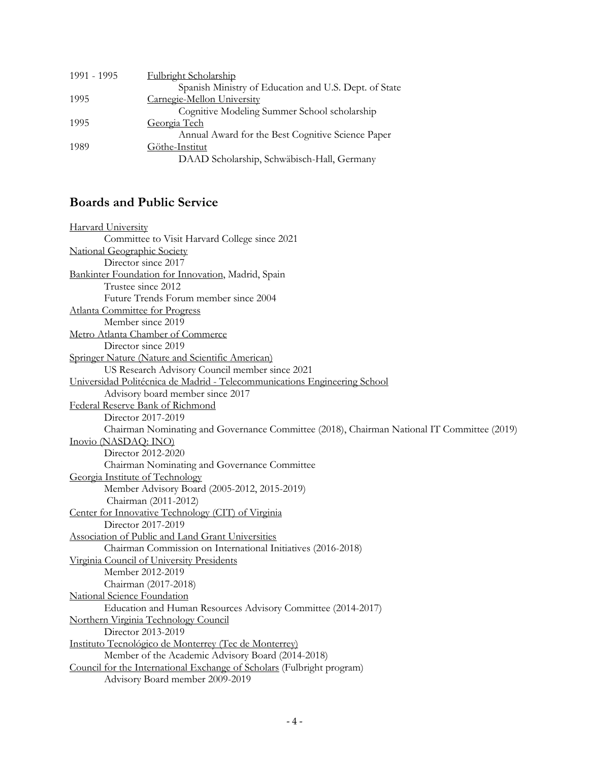| 1991 - 1995 | Fulbright Scholarship                                 |
|-------------|-------------------------------------------------------|
|             | Spanish Ministry of Education and U.S. Dept. of State |
| 1995        | Carnegie-Mellon University                            |
|             | Cognitive Modeling Summer School scholarship          |
| 1995        | Georgia Tech                                          |
|             | Annual Award for the Best Cognitive Science Paper     |
| 1989        | Göthe-Institut                                        |
|             | DAAD Scholarship, Schwäbisch-Hall, Germany            |

#### **Boards and Public Service**

| <b>Harvard University</b>                                                                  |
|--------------------------------------------------------------------------------------------|
| Committee to Visit Harvard College since 2021                                              |
| <b>National Geographic Society</b>                                                         |
| Director since 2017                                                                        |
| Bankinter Foundation for Innovation, Madrid, Spain                                         |
| Trustee since 2012                                                                         |
| Future Trends Forum member since 2004                                                      |
| Atlanta Committee for Progress                                                             |
| Member since 2019                                                                          |
| Metro Atlanta Chamber of Commerce                                                          |
| Director since 2019                                                                        |
| Springer Nature (Nature and Scientific American)                                           |
| US Research Advisory Council member since 2021                                             |
| Universidad Politécnica de Madrid - Telecommunications Engineering School                  |
| Advisory board member since 2017                                                           |
| Federal Reserve Bank of Richmond                                                           |
| Director 2017-2019                                                                         |
| Chairman Nominating and Governance Committee (2018), Chairman National IT Committee (2019) |
| Inovio (NASDAQ: INO)                                                                       |
| Director 2012-2020                                                                         |
| Chairman Nominating and Governance Committee                                               |
| Georgia Institute of Technology                                                            |
| Member Advisory Board (2005-2012, 2015-2019)                                               |
| Chairman (2011-2012)                                                                       |
| Center for Innovative Technology (CIT) of Virginia                                         |
| Director 2017-2019                                                                         |
| <b>Association of Public and Land Grant Universities</b>                                   |
| Chairman Commission on International Initiatives (2016-2018)                               |
| Virginia Council of University Presidents                                                  |
| Member 2012-2019                                                                           |
| Chairman (2017-2018)                                                                       |
| National Science Foundation                                                                |
| Education and Human Resources Advisory Committee (2014-2017)                               |
| Northern Virginia Technology Council                                                       |
| Director 2013-2019                                                                         |
| Instituto Tecnológico de Monterrey (Tec de Monterrey)                                      |
| Member of the Academic Advisory Board (2014-2018)                                          |
| Council for the International Exchange of Scholars (Fulbright program)                     |
| Advisory Board member 2009-2019                                                            |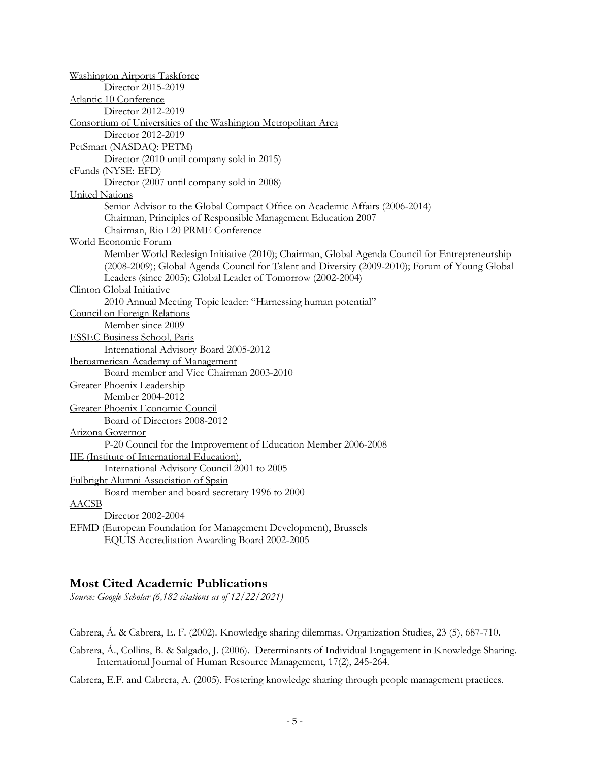#### **Most Cited Academic Publications**

*Source: Google Scholar (6,182 citations as of 12/22/2021)*

Cabrera, Á. & Cabrera, E. F. (2002). Knowledge sharing dilemmas. Organization Studies, 23 (5), 687-710.

Cabrera, Á., Collins, B. & Salgado, J. (2006). Determinants of Individual Engagement in Knowledge Sharing. International Journal of Human Resource Management, 17(2), 245-264.

Cabrera, E.F. and Cabrera, A. (2005). Fostering knowledge sharing through people management practices.